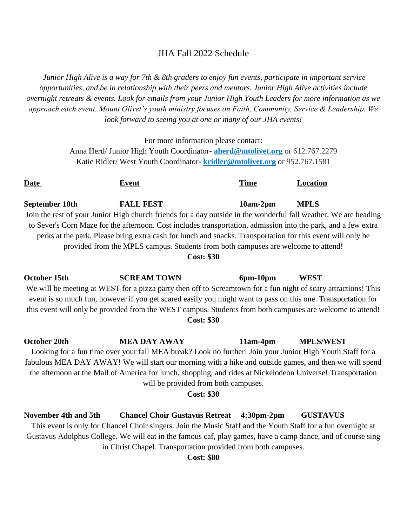## JHA Fall 2022 Schedule

*Junior High Alive is a way for 7th & 8th graders to enjoy fun events, participate in important service opportunities, and be in relationship with their peers and mentors. Junior High Alive activities include overnight retreats & events. Look for emails from your Junior High Youth Leaders for more information as we approach each event. Mount Olivet's youth ministry focuses on Faith, Community, Service & Leadership. We look forward to seeing you at one or many of our JHA events!*

For more information please contact:

Anna Herd/ Junior High Youth Coordinator- **[aherd@mtolivet.org](mailto:astdennis@mtolivet.org)** or 612.767.2279 Katie Ridler/ West Youth Coordinator- **[kridler@mtolivet.org](mailto:kridler@mtolivet.org)** or 952.767.1581

| Date                                                                                                                                                                                                                                                                                                                                                                                                                                 | <b>Event</b>                                                                                                                                                                                                                                                                                                                                                                                                           | <b>Time</b>    | Location         |  |  |
|--------------------------------------------------------------------------------------------------------------------------------------------------------------------------------------------------------------------------------------------------------------------------------------------------------------------------------------------------------------------------------------------------------------------------------------|------------------------------------------------------------------------------------------------------------------------------------------------------------------------------------------------------------------------------------------------------------------------------------------------------------------------------------------------------------------------------------------------------------------------|----------------|------------------|--|--|
| September 10th                                                                                                                                                                                                                                                                                                                                                                                                                       | <b>FALL FEST</b><br>Join the rest of your Junior High church friends for a day outside in the wonderful fall weather. We are heading                                                                                                                                                                                                                                                                                   | $10am-2pm$     | <b>MPLS</b>      |  |  |
|                                                                                                                                                                                                                                                                                                                                                                                                                                      | to Sever's Corn Maze for the afternoon. Cost includes transportation, admission into the park, and a few extra<br>perks at the park. Please bring extra cash for lunch and snacks. Transportation for this event will only be                                                                                                                                                                                          |                |                  |  |  |
| provided from the MPLS campus. Students from both campuses are welcome to attend!<br><b>Cost: \$30</b>                                                                                                                                                                                                                                                                                                                               |                                                                                                                                                                                                                                                                                                                                                                                                                        |                |                  |  |  |
| October 15th<br><b>SCREAM TOWN</b><br>$6pm-10pm$<br><b>WEST</b><br>We will be meeting at WEST for a pizza party then off to Screamtown for a fun night of scary attractions! This<br>event is so much fun, however if you get scared easily you might want to pass on this one. Transportation for<br>this event will only be provided from the WEST campus. Students from both campuses are welcome to attend!<br><b>Cost: \$30</b> |                                                                                                                                                                                                                                                                                                                                                                                                                        |                |                  |  |  |
| <b>October 20th</b>                                                                                                                                                                                                                                                                                                                                                                                                                  | <b>MEA DAY AWAY</b><br>Looking for a fun time over your fall MEA break? Look no further! Join your Junior High Youth Staff for a<br>fabulous MEA DAY AWAY! We will start our morning with a hike and outside games, and then we will spend<br>the afternoon at the Mall of America for lunch, shopping, and rides at Nickelodeon Universe! Transportation<br>will be provided from both campuses.<br><b>Cost: \$30</b> | $11am-4pm$     | <b>MPLS/WEST</b> |  |  |
| November 4th and 5th                                                                                                                                                                                                                                                                                                                                                                                                                 | <b>Chancel Choir Gustavus Retreat</b>                                                                                                                                                                                                                                                                                                                                                                                  | $4:30pm - 2pm$ | <b>GUSTAVUS</b>  |  |  |

This event is only for Chancel Choir singers. Join the Music Staff and the Youth Staff for a fun overnight at Gustavus Adolphus College. We will eat in the famous caf, play games, have a camp dance, and of course sing in Christ Chapel. Transportation provided from both campuses.

**Cost: \$80**